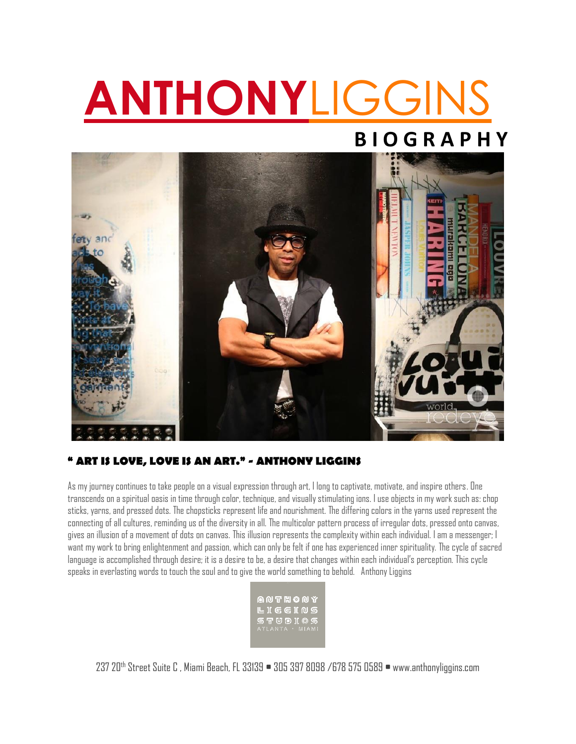# **ANTHONY**LIGGINS

## **B I O G R A P H Y**



#### **" ART IS LOVE, LOVE IS AN ART." - ANTHONY LIGGINS**

As my journey continues to take people on a visual expression through art, I long to captivate, motivate, and inspire others. One transcends on a spiritual oasis in time through color, technique, and visually stimulating ions. I use objects in my work such as: chop sticks, yarns, and pressed dots. The chopsticks represent life and nourishment. The differing colors in the yarns used represent the connecting of all cultures, reminding us of the diversity in all. The multicolor pattern process of irregular dots, pressed onto canvas, gives an illusion of a movement of dots on canvas. This illusion represents the complexity within each individual. I am a messenger; I want my work to bring enlightenment and passion, which can only be felt if one has experienced inner spirituality. The cycle of sacred language is accomplished through desire; it is a desire to be, a desire that changes within each individual's perception. This cycle speaks in everlasting words to touch the soul and to give the world something to behold. Anthony Liggins

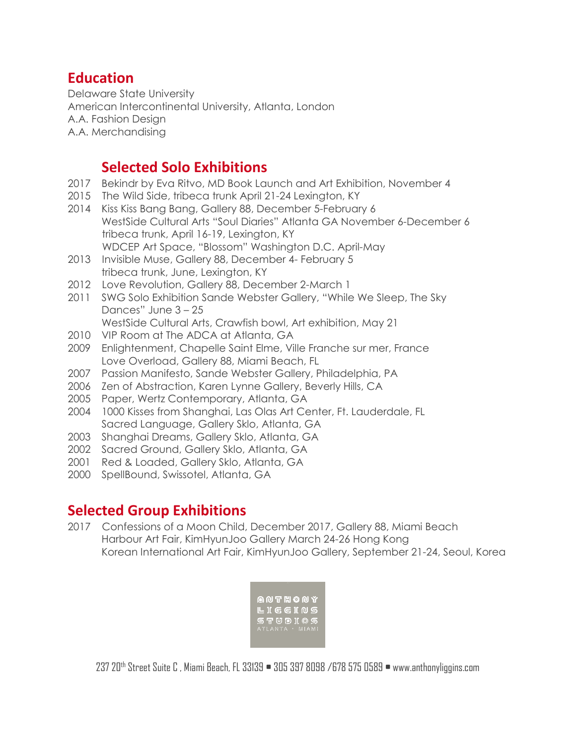#### **Education**

Delaware State University American Intercontinental University, Atlanta, London A.A. Fashion Design A.A. Merchandising

#### **Selected Solo Exhibitions**

- 2017 Bekindr by Eva Ritvo, MD Book Launch and Art Exhibition, November 4
- 2015 The Wild Side, tribeca trunk April 21-24 Lexington, KY
- 2014 Kiss Kiss Bang Bang, Gallery 88, December 5-February 6 WestSide Cultural Arts "Soul Diaries" Atlanta GA November 6-December 6 tribeca trunk, April 16-19, Lexington, KY WDCEP Art Space, "Blossom" Washington D.C. April-May
- 2013 Invisible Muse, Gallery 88, December 4- February 5 tribeca trunk, June, Lexington, KY
- 2012 Love Revolution, Gallery 88, December 2-March 1
- 2011 SWG Solo Exhibition Sande Webster Gallery, "While We Sleep, The Sky Dances" June 3 – 25
	- WestSide Cultural Arts, Crawfish bowl, Art exhibition, May 21
- 2010 VIP Room at The ADCA at Atlanta, GA
- 2009 Enlightenment, Chapelle Saint Elme, Ville Franche sur mer, France Love Overload, Gallery 88, Miami Beach, FL
- 2007 Passion Manifesto, Sande Webster Gallery, Philadelphia, PA
- 2006 Zen of Abstraction, Karen Lynne Gallery, Beverly Hills, CA
- 2005 Paper, Wertz Contemporary, Atlanta, GA
- 2004 1000 Kisses from Shanghai, Las Olas Art Center, Ft. Lauderdale, FL Sacred Language, Gallery Sklo, Atlanta, GA
- 2003 Shanghai Dreams, Gallery Sklo, Atlanta, GA
- 2002 Sacred Ground, Gallery Sklo, Atlanta, GA
- 2001 Red & Loaded, Gallery Sklo, Atlanta, GA
- 2000 SpellBound, Swissotel, Atlanta, GA

#### **Selected Group Exhibitions**

2017 Confessions of a Moon Child, December 2017, Gallery 88, Miami Beach Harbour Art Fair, KimHyunJoo Gallery March 24-26 Hong Kong Korean International Art Fair, KimHyunJoo Gallery, September 21-24, Seoul, Korea

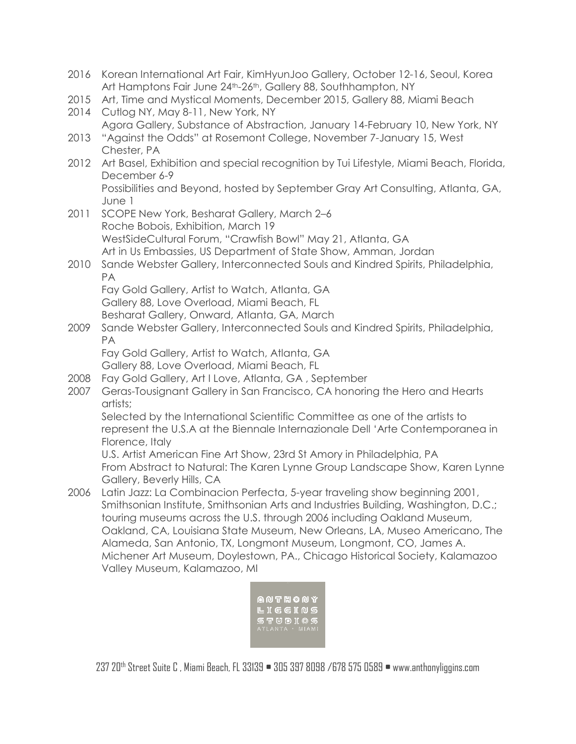- 2016 Korean International Art Fair, KimHyunJoo Gallery, October 12-16, Seoul, Korea Art Hamptons Fair June 24<sup>th</sup>-26<sup>th</sup>, Gallery 88, Southhampton, NY
- 2015 Art, Time and Mystical Moments, December 2015, Gallery 88, Miami Beach
- 2014 Cutlog NY, May 8-11, New York, NY Agora Gallery, Substance of Abstraction, January 14-February 10, New York, NY
- 2013 "Against the Odds" at Rosemont College, November 7-January 15, West Chester, PA
- 2012 Art Basel, Exhibition and special recognition by Tui Lifestyle, Miami Beach, Florida, December 6-9

Possibilities and Beyond, hosted by September Gray Art Consulting, Atlanta, GA, June 1

- 2011 SCOPE New York, Besharat Gallery, March 2–6 Roche Bobois, Exhibition, March 19 WestSideCultural Forum, "Crawfish Bowl" May 21, Atlanta, GA Art in Us Embassies, US Department of State Show, Amman, Jordan
- 2010 Sande Webster Gallery, Interconnected Souls and Kindred Spirits, Philadelphia, PA

Fay Gold Gallery, Artist to Watch, Atlanta, GA Gallery 88, Love Overload, Miami Beach, FL Besharat Gallery, Onward, Atlanta, GA, March

2009 Sande Webster Gallery, Interconnected Souls and Kindred Spirits, Philadelphia, PA

Fay Gold Gallery, Artist to Watch, Atlanta, GA

Gallery 88, Love Overload, Miami Beach, FL

- 2008 Fay Gold Gallery, Art I Love, Atlanta, GA , September
- 2007 Geras-Tousignant Gallery in San Francisco, CA honoring the Hero and Hearts artists;

Selected by the International Scientific Committee as one of the artists to represent the U.S.A at the Biennale Internazionale Dell 'Arte Contemporanea in Florence, Italy

U.S. Artist American Fine Art Show, 23rd St Amory in Philadelphia, PA From Abstract to Natural: The Karen Lynne Group Landscape Show, Karen Lynne Gallery, Beverly Hills, CA

2006 Latin Jazz: La Combinacion Perfecta, 5-year traveling show beginning 2001, Smithsonian Institute, Smithsonian Arts and Industries Building, Washington, D.C.; touring museums across the U.S. through 2006 including Oakland Museum, Oakland, CA, Louisiana State Museum, New Orleans, LA, Museo Americano, The Alameda, San Antonio, TX, Longmont Museum, Longmont, CO, James A. Michener Art Museum, Doylestown, PA., Chicago Historical Society, Kalamazoo Valley Museum, Kalamazoo, MI

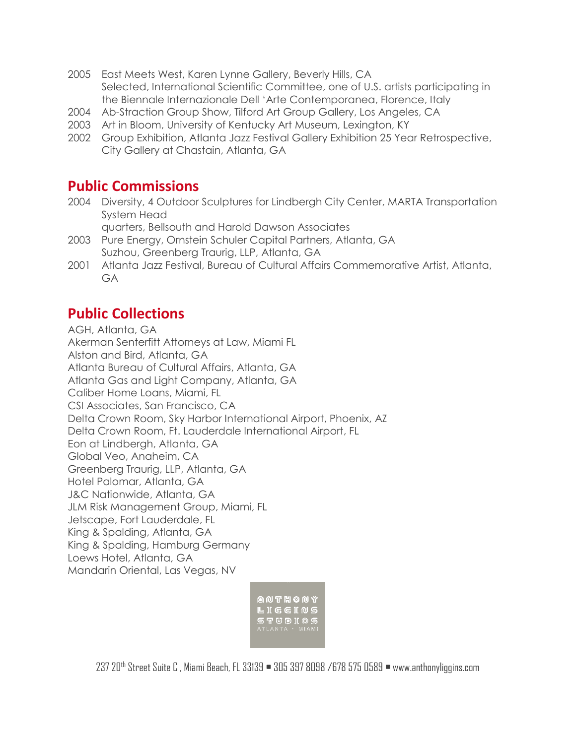- 2005 East Meets West, Karen Lynne Gallery, Beverly Hills, CA Selected, International Scientific Committee, one of U.S. artists participating in the Biennale Internazionale Dell 'Arte Contemporanea, Florence, Italy
- 2004 Ab-Straction Group Show, Tilford Art Group Gallery, Los Angeles, CA
- 2003 Art in Bloom, University of Kentucky Art Museum, Lexington, KY
- 2002 Group Exhibition, Atlanta Jazz Festival Gallery Exhibition 25 Year Retrospective, City Gallery at Chastain, Atlanta, GA

#### **Public Commissions**

- 2004 Diversity, 4 Outdoor Sculptures for Lindbergh City Center, MARTA Transportation System Head
	- quarters, Bellsouth and Harold Dawson Associates
- 2003 Pure Energy, Ornstein Schuler Capital Partners, Atlanta, GA Suzhou, Greenberg Traurig, LLP, Atlanta, GA
- 2001 Atlanta Jazz Festival, Bureau of Cultural Affairs Commemorative Artist, Atlanta, GA

#### **Public Collections**

AGH, Atlanta, GA Akerman Senterfitt Attorneys at Law, Miami FL Alston and Bird, Atlanta, GA Atlanta Bureau of Cultural Affairs, Atlanta, GA Atlanta Gas and Light Company, Atlanta, GA Caliber Home Loans, Miami, FL CSI Associates, San Francisco, CA Delta Crown Room, Sky Harbor International Airport, Phoenix, AZ Delta Crown Room, Ft. Lauderdale International Airport, FL Eon at Lindbergh, Atlanta, GA Global Veo, Anaheim, CA Greenberg Traurig, LLP, Atlanta, GA Hotel Palomar, Atlanta, GA J&C Nationwide, Atlanta, GA JLM Risk Management Group, Miami, FL Jetscape, Fort Lauderdale, FL King & Spalding, Atlanta, GA King & Spalding, Hamburg Germany Loews Hotel, Atlanta, GA Mandarin Oriental, Las Vegas, NV

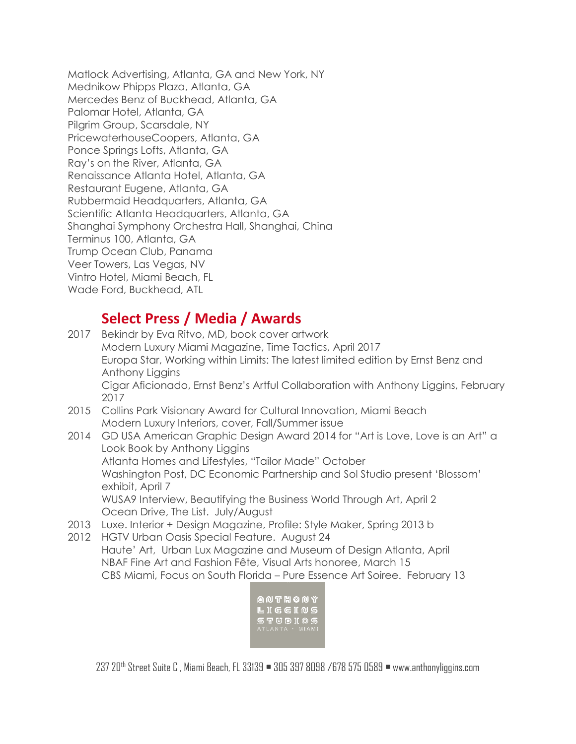Matlock Advertising, Atlanta, GA and New York, NY Mednikow Phipps Plaza, Atlanta, GA Mercedes Benz of Buckhead, Atlanta, GA Palomar Hotel, Atlanta, GA Pilgrim Group, Scarsdale, NY PricewaterhouseCoopers, Atlanta, GA Ponce Springs Lofts, Atlanta, GA Ray's on the River, Atlanta, GA Renaissance Atlanta Hotel, Atlanta, GA Restaurant Eugene, Atlanta, GA Rubbermaid Headquarters, Atlanta, GA Scientific Atlanta Headquarters, Atlanta, GA Shanghai Symphony Orchestra Hall, Shanghai, China Terminus 100, Atlanta, GA Trump Ocean Club, Panama Veer Towers, Las Vegas, NV Vintro Hotel, Miami Beach, FL Wade Ford, Buckhead, ATL

### **Select Press / Media / Awards**

- 2017 Bekindr by Eva Ritvo, MD, book cover artwork Modern Luxury Miami Magazine, Time Tactics, April 2017 Europa Star, Working within Limits: The latest limited edition by Ernst Benz and Anthony Liggins Cigar Aficionado, Ernst Benz's Artful Collaboration with Anthony Liggins, February 2017 2015 Collins Park Visionary Award for Cultural Innovation, Miami Beach Modern Luxury Interiors, cover, Fall/Summer issue 2014 GD USA American Graphic Design Award 2014 for "Art is Love, Love is an Art" a
- Look Book by Anthony Liggins Atlanta Homes and Lifestyles, "Tailor Made" October Washington Post, DC Economic Partnership and Sol Studio present 'Blossom' exhibit, April 7 WUSA9 Interview, Beautifying the Business World Through Art, April 2 Ocean Drive, The List. July/August
- 2013 Luxe. Interior + Design Magazine, Profile: Style Maker, Spring 2013 b
- 2012 HGTV Urban Oasis Special Feature. August 24 Haute' Art, Urban Lux Magazine and Museum of Design Atlanta, April NBAF Fine Art and Fashion Fête, Visual Arts honoree, March 15 CBS Miami, Focus on South Florida – Pure Essence Art Soiree. February 13

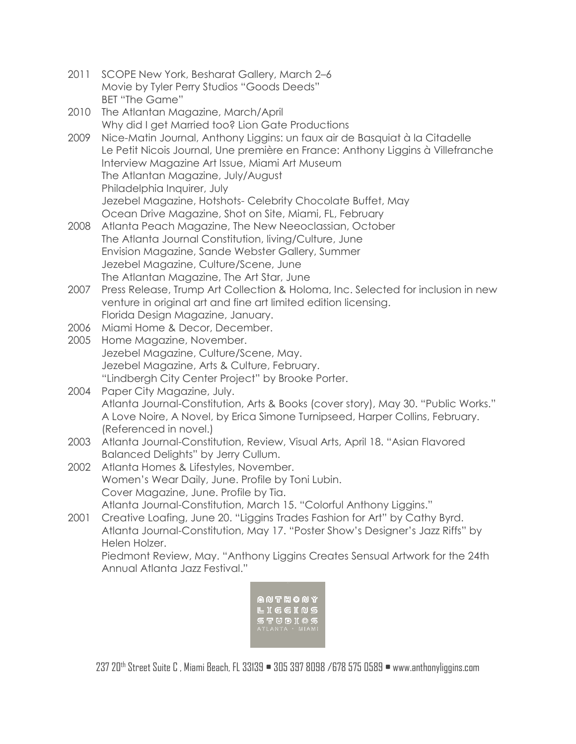- 2011 SCOPE New York, Besharat Gallery, March 2–6 Movie by Tyler Perry Studios "Goods Deeds" BET "The Game"
- 2010 The Atlantan Magazine, March/April Why did I get Married too? Lion Gate Productions
- 2009 Nice-Matin Journal, Anthony Liggins: un faux air de Basquiat à la Citadelle Le Petit Nicois Journal, Une première en France: Anthony Liggins à Villefranche Interview Magazine Art Issue, Miami Art Museum The Atlantan Magazine, July/August Philadelphia Inquirer, July Jezebel Magazine, Hotshots- Celebrity Chocolate Buffet, May Ocean Drive Magazine, Shot on Site, Miami, FL, February
- 2008 Atlanta Peach Magazine, The New Neeoclassian, October The Atlanta Journal Constitution, living/Culture, June Envision Magazine, Sande Webster Gallery, Summer Jezebel Magazine, Culture/Scene, June The Atlantan Magazine, The Art Star, June
- 2007 Press Release, Trump Art Collection & Holoma, Inc. Selected for inclusion in new venture in original art and fine art limited edition licensing. Florida Design Magazine, January.
- 2006 Miami Home & Decor, December.
- 2005 Home Magazine, November. Jezebel Magazine, Culture/Scene, May. Jezebel Magazine, Arts & Culture, February. "Lindbergh City Center Project" by Brooke Porter.
- 2004 Paper City Magazine, July. Atlanta Journal-Constitution, Arts & Books (cover story), May 30. "Public Works." A Love Noire, A Novel, by Erica Simone Turnipseed, Harper Collins, February. (Referenced in novel.)
- 2003 Atlanta Journal-Constitution, Review, Visual Arts, April 18. "Asian Flavored Balanced Delights" by Jerry Cullum.
- 2002 Atlanta Homes & Lifestyles, November. Women's Wear Daily, June. Profile by Toni Lubin. Cover Magazine, June. Profile by Tia. Atlanta Journal-Constitution, March 15. "Colorful Anthony Liggins."
- 2001 Creative Loafing, June 20. "Liggins Trades Fashion for Art" by Cathy Byrd. Atlanta Journal-Constitution, May 17. "Poster Show's Designer's Jazz Riffs" by Helen Holzer.

Piedmont Review, May. "Anthony Liggins Creates Sensual Artwork for the 24th Annual Atlanta Jazz Festival."